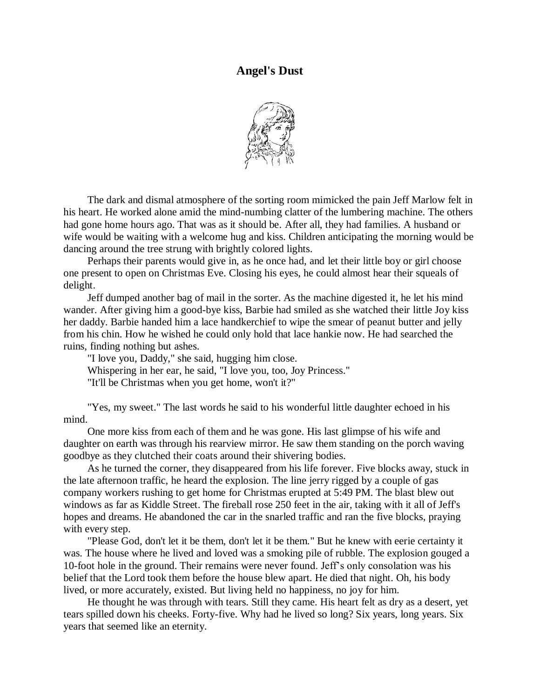## **Angel's Dust**



The dark and dismal atmosphere of the sorting room mimicked the pain Jeff Marlow felt in his heart. He worked alone amid the mind-numbing clatter of the lumbering machine. The others had gone home hours ago. That was as it should be. After all, they had families. A husband or wife would be waiting with a welcome hug and kiss. Children anticipating the morning would be dancing around the tree strung with brightly colored lights.

Perhaps their parents would give in, as he once had, and let their little boy or girl choose one present to open on Christmas Eve. Closing his eyes, he could almost hear their squeals of delight.

Jeff dumped another bag of mail in the sorter. As the machine digested it, he let his mind wander. After giving him a good-bye kiss, Barbie had smiled as she watched their little Joy kiss her daddy. Barbie handed him a lace handkerchief to wipe the smear of peanut butter and jelly from his chin. How he wished he could only hold that lace hankie now. He had searched the ruins, finding nothing but ashes.

"I love you, Daddy," she said, hugging him close. Whispering in her ear, he said, "I love you, too, Joy Princess." "It'll be Christmas when you get home, won't it?"

"Yes, my sweet." The last words he said to his wonderful little daughter echoed in his mind.

One more kiss from each of them and he was gone. His last glimpse of his wife and daughter on earth was through his rearview mirror. He saw them standing on the porch waving goodbye as they clutched their coats around their shivering bodies.

As he turned the corner, they disappeared from his life forever. Five blocks away, stuck in the late afternoon traffic, he heard the explosion. The line jerry rigged by a couple of gas company workers rushing to get home for Christmas erupted at 5:49 PM. The blast blew out windows as far as Kiddle Street. The fireball rose 250 feet in the air, taking with it all of Jeff's hopes and dreams. He abandoned the car in the snarled traffic and ran the five blocks, praying with every step.

"Please God, don't let it be them, don't let it be them." But he knew with eerie certainty it was. The house where he lived and loved was a smoking pile of rubble. The explosion gouged a 10-foot hole in the ground. Their remains were never found. Jeff's only consolation was his belief that the Lord took them before the house blew apart. He died that night. Oh, his body lived, or more accurately, existed. But living held no happiness, no joy for him.

He thought he was through with tears. Still they came. His heart felt as dry as a desert, yet tears spilled down his cheeks. Forty-five. Why had he lived so long? Six years, long years. Six years that seemed like an eternity.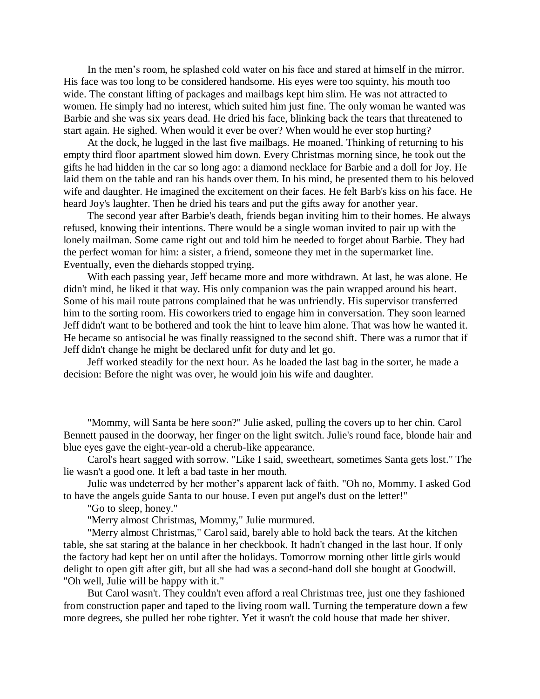In the men's room, he splashed cold water on his face and stared at himself in the mirror. His face was too long to be considered handsome. His eyes were too squinty, his mouth too wide. The constant lifting of packages and mailbags kept him slim. He was not attracted to women. He simply had no interest, which suited him just fine. The only woman he wanted was Barbie and she was six years dead. He dried his face, blinking back the tears that threatened to start again. He sighed. When would it ever be over? When would he ever stop hurting?

At the dock, he lugged in the last five mailbags. He moaned. Thinking of returning to his empty third floor apartment slowed him down. Every Christmas morning since, he took out the gifts he had hidden in the car so long ago: a diamond necklace for Barbie and a doll for Joy. He laid them on the table and ran his hands over them. In his mind, he presented them to his beloved wife and daughter. He imagined the excitement on their faces. He felt Barb's kiss on his face. He heard Joy's laughter. Then he dried his tears and put the gifts away for another year.

The second year after Barbie's death, friends began inviting him to their homes. He always refused, knowing their intentions. There would be a single woman invited to pair up with the lonely mailman. Some came right out and told him he needed to forget about Barbie. They had the perfect woman for him: a sister, a friend, someone they met in the supermarket line. Eventually, even the diehards stopped trying.

With each passing year, Jeff became more and more withdrawn. At last, he was alone. He didn't mind, he liked it that way. His only companion was the pain wrapped around his heart. Some of his mail route patrons complained that he was unfriendly. His supervisor transferred him to the sorting room. His coworkers tried to engage him in conversation. They soon learned Jeff didn't want to be bothered and took the hint to leave him alone. That was how he wanted it. He became so antisocial he was finally reassigned to the second shift. There was a rumor that if Jeff didn't change he might be declared unfit for duty and let go.

Jeff worked steadily for the next hour. As he loaded the last bag in the sorter, he made a decision: Before the night was over, he would join his wife and daughter.

"Mommy, will Santa be here soon?" Julie asked, pulling the covers up to her chin. Carol Bennett paused in the doorway, her finger on the light switch. Julie's round face, blonde hair and blue eyes gave the eight-year-old a cherub-like appearance.

Carol's heart sagged with sorrow. "Like I said, sweetheart, sometimes Santa gets lost." The lie wasn't a good one. It left a bad taste in her mouth.

Julie was undeterred by her mother's apparent lack of faith. "Oh no, Mommy. I asked God to have the angels guide Santa to our house. I even put angel's dust on the letter!"

"Go to sleep, honey."

"Merry almost Christmas, Mommy," Julie murmured.

"Merry almost Christmas," Carol said, barely able to hold back the tears. At the kitchen table, she sat staring at the balance in her checkbook. It hadn't changed in the last hour. If only the factory had kept her on until after the holidays. Tomorrow morning other little girls would delight to open gift after gift, but all she had was a second-hand doll she bought at Goodwill. "Oh well, Julie will be happy with it."

But Carol wasn't. They couldn't even afford a real Christmas tree, just one they fashioned from construction paper and taped to the living room wall. Turning the temperature down a few more degrees, she pulled her robe tighter. Yet it wasn't the cold house that made her shiver.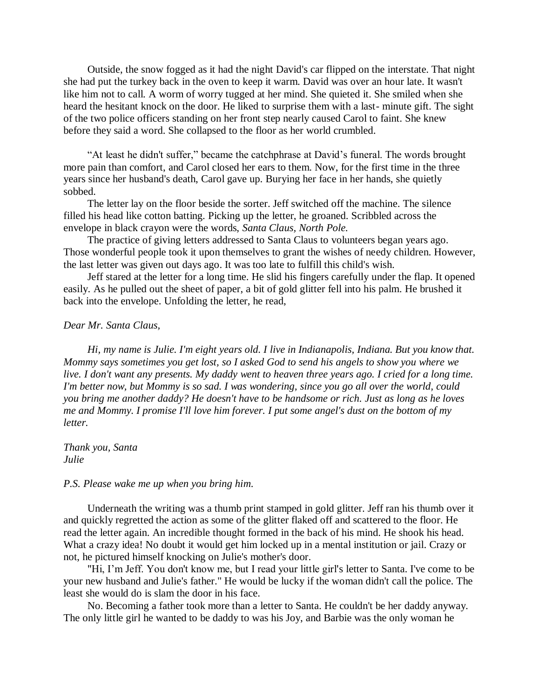Outside, the snow fogged as it had the night David's car flipped on the interstate. That night she had put the turkey back in the oven to keep it warm. David was over an hour late. It wasn't like him not to call. A worm of worry tugged at her mind. She quieted it. She smiled when she heard the hesitant knock on the door. He liked to surprise them with a last- minute gift. The sight of the two police officers standing on her front step nearly caused Carol to faint. She knew before they said a word. She collapsed to the floor as her world crumbled.

"At least he didn't suffer," became the catchphrase at David's funeral. The words brought more pain than comfort, and Carol closed her ears to them. Now, for the first time in the three years since her husband's death, Carol gave up. Burying her face in her hands, she quietly sobbed.

The letter lay on the floor beside the sorter. Jeff switched off the machine. The silence filled his head like cotton batting. Picking up the letter, he groaned. Scribbled across the envelope in black crayon were the words, *Santa Claus, North Pole.* 

The practice of giving letters addressed to Santa Claus to volunteers began years ago. Those wonderful people took it upon themselves to grant the wishes of needy children. However, the last letter was given out days ago. It was too late to fulfill this child's wish.

Jeff stared at the letter for a long time. He slid his fingers carefully under the flap. It opened easily. As he pulled out the sheet of paper, a bit of gold glitter fell into his palm. He brushed it back into the envelope. Unfolding the letter, he read,

## *Dear Mr. Santa Claus,*

*Hi, my name is Julie. I'm eight years old. I live in Indianapolis, Indiana. But you know that. Mommy says sometimes you get lost, so I asked God to send his angels to show you where we live. I don't want any presents. My daddy went to heaven three years ago. I cried for a long time. I'm better now, but Mommy is so sad. I was wondering, since you go all over the world, could you bring me another daddy? He doesn't have to be handsome or rich. Just as long as he loves me and Mommy. I promise I'll love him forever. I put some angel's dust on the bottom of my letter.*

## *Thank you, Santa Julie*

## *P.S. Please wake me up when you bring him.*

Underneath the writing was a thumb print stamped in gold glitter. Jeff ran his thumb over it and quickly regretted the action as some of the glitter flaked off and scattered to the floor. He read the letter again. An incredible thought formed in the back of his mind. He shook his head. What a crazy idea! No doubt it would get him locked up in a mental institution or jail. Crazy or not, he pictured himself knocking on Julie's mother's door.

"Hi, I'm Jeff. You don't know me, but I read your little girl's letter to Santa. I've come to be your new husband and Julie's father." He would be lucky if the woman didn't call the police. The least she would do is slam the door in his face.

No. Becoming a father took more than a letter to Santa. He couldn't be her daddy anyway. The only little girl he wanted to be daddy to was his Joy, and Barbie was the only woman he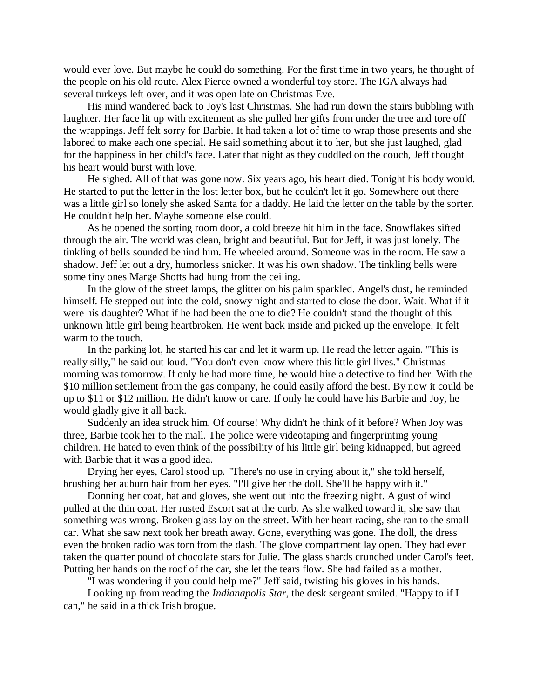would ever love. But maybe he could do something. For the first time in two years, he thought of the people on his old route. Alex Pierce owned a wonderful toy store. The IGA always had several turkeys left over, and it was open late on Christmas Eve.

His mind wandered back to Joy's last Christmas. She had run down the stairs bubbling with laughter. Her face lit up with excitement as she pulled her gifts from under the tree and tore off the wrappings. Jeff felt sorry for Barbie. It had taken a lot of time to wrap those presents and she labored to make each one special. He said something about it to her, but she just laughed, glad for the happiness in her child's face. Later that night as they cuddled on the couch, Jeff thought his heart would burst with love.

He sighed. All of that was gone now. Six years ago, his heart died. Tonight his body would. He started to put the letter in the lost letter box, but he couldn't let it go. Somewhere out there was a little girl so lonely she asked Santa for a daddy. He laid the letter on the table by the sorter. He couldn't help her. Maybe someone else could.

As he opened the sorting room door, a cold breeze hit him in the face. Snowflakes sifted through the air. The world was clean, bright and beautiful. But for Jeff, it was just lonely. The tinkling of bells sounded behind him. He wheeled around. Someone was in the room. He saw a shadow. Jeff let out a dry, humorless snicker. It was his own shadow. The tinkling bells were some tiny ones Marge Shotts had hung from the ceiling.

In the glow of the street lamps, the glitter on his palm sparkled. Angel's dust, he reminded himself. He stepped out into the cold, snowy night and started to close the door. Wait. What if it were his daughter? What if he had been the one to die? He couldn't stand the thought of this unknown little girl being heartbroken. He went back inside and picked up the envelope. It felt warm to the touch.

In the parking lot, he started his car and let it warm up. He read the letter again. "This is really silly," he said out loud. "You don't even know where this little girl lives." Christmas morning was tomorrow. If only he had more time, he would hire a detective to find her. With the \$10 million settlement from the gas company, he could easily afford the best. By now it could be up to \$11 or \$12 million. He didn't know or care. If only he could have his Barbie and Joy, he would gladly give it all back.

Suddenly an idea struck him. Of course! Why didn't he think of it before? When Joy was three, Barbie took her to the mall. The police were videotaping and fingerprinting young children. He hated to even think of the possibility of his little girl being kidnapped, but agreed with Barbie that it was a good idea.

Drying her eyes, Carol stood up. "There's no use in crying about it," she told herself, brushing her auburn hair from her eyes. "I'll give her the doll. She'll be happy with it."

Donning her coat, hat and gloves, she went out into the freezing night. A gust of wind pulled at the thin coat. Her rusted Escort sat at the curb. As she walked toward it, she saw that something was wrong. Broken glass lay on the street. With her heart racing, she ran to the small car. What she saw next took her breath away. Gone, everything was gone. The doll, the dress even the broken radio was torn from the dash. The glove compartment lay open. They had even taken the quarter pound of chocolate stars for Julie. The glass shards crunched under Carol's feet. Putting her hands on the roof of the car, she let the tears flow. She had failed as a mother.

"I was wondering if you could help me?" Jeff said, twisting his gloves in his hands.

Looking up from reading the *Indianapolis Star*, the desk sergeant smiled. "Happy to if I can," he said in a thick Irish brogue.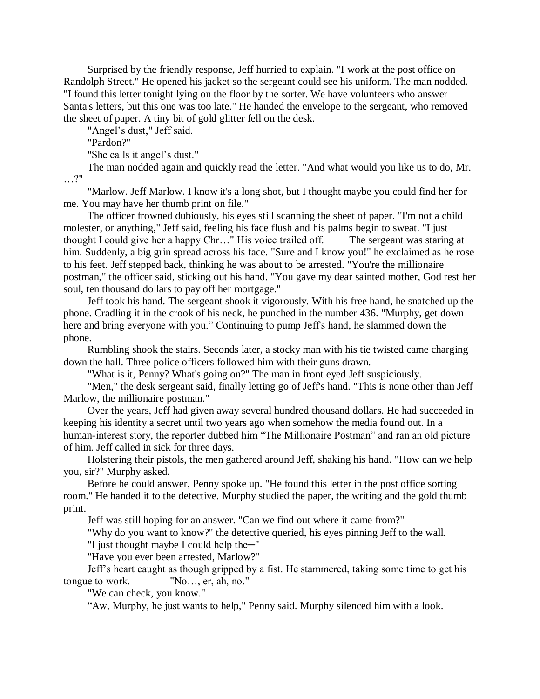Surprised by the friendly response, Jeff hurried to explain. "I work at the post office on Randolph Street." He opened his jacket so the sergeant could see his uniform. The man nodded. "I found this letter tonight lying on the floor by the sorter. We have volunteers who answer Santa's letters, but this one was too late." He handed the envelope to the sergeant, who removed the sheet of paper. A tiny bit of gold glitter fell on the desk.

"Angel's dust," Jeff said.

"Pardon?"

"She calls it angel's dust."

The man nodded again and quickly read the letter. "And what would you like us to do, Mr. …?"

"Marlow. Jeff Marlow. I know it's a long shot, but I thought maybe you could find her for me. You may have her thumb print on file."

The officer frowned dubiously, his eyes still scanning the sheet of paper. "I'm not a child molester, or anything," Jeff said, feeling his face flush and his palms begin to sweat. "I just thought I could give her a happy Chr…" His voice trailed off. The sergeant was staring at him. Suddenly, a big grin spread across his face. "Sure and I know you!" he exclaimed as he rose to his feet. Jeff stepped back, thinking he was about to be arrested. "You're the millionaire postman," the officer said, sticking out his hand. "You gave my dear sainted mother, God rest her soul, ten thousand dollars to pay off her mortgage."

Jeff took his hand. The sergeant shook it vigorously. With his free hand, he snatched up the phone. Cradling it in the crook of his neck, he punched in the number 436. "Murphy, get down here and bring everyone with you." Continuing to pump Jeff's hand, he slammed down the phone.

Rumbling shook the stairs. Seconds later, a stocky man with his tie twisted came charging down the hall. Three police officers followed him with their guns drawn.

"What is it, Penny? What's going on?" The man in front eyed Jeff suspiciously.

"Men," the desk sergeant said, finally letting go of Jeff's hand. "This is none other than Jeff Marlow, the millionaire postman."

Over the years, Jeff had given away several hundred thousand dollars. He had succeeded in keeping his identity a secret until two years ago when somehow the media found out. In a human-interest story, the reporter dubbed him "The Millionaire Postman" and ran an old picture of him. Jeff called in sick for three days.

Holstering their pistols, the men gathered around Jeff, shaking his hand. "How can we help you, sir?" Murphy asked.

Before he could answer, Penny spoke up. "He found this letter in the post office sorting room." He handed it to the detective. Murphy studied the paper, the writing and the gold thumb print.

Jeff was still hoping for an answer. "Can we find out where it came from?"

"Why do you want to know?" the detective queried, his eyes pinning Jeff to the wall.

"I just thought maybe I could help the─"

"Have you ever been arrested, Marlow?"

Jeff's heart caught as though gripped by a fist. He stammered, taking some time to get his tongue to work. "No…, er, ah, no."

"We can check, you know."

"Aw, Murphy, he just wants to help," Penny said. Murphy silenced him with a look.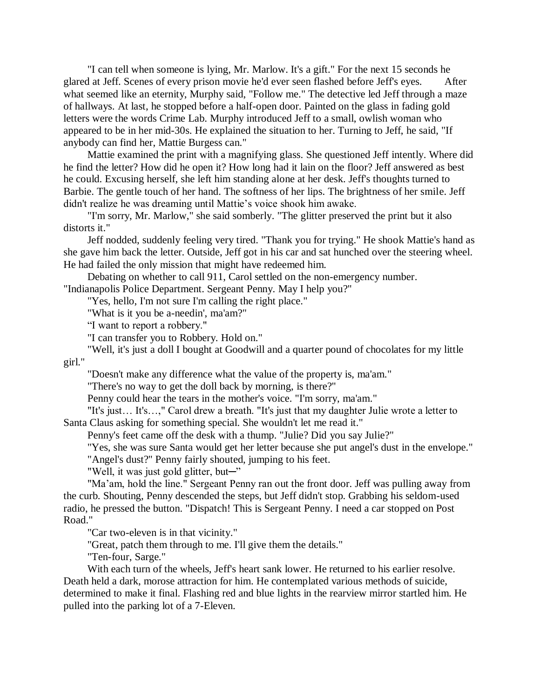"I can tell when someone is lying, Mr. Marlow. It's a gift." For the next 15 seconds he glared at Jeff. Scenes of every prison movie he'd ever seen flashed before Jeff's eyes. After what seemed like an eternity, Murphy said, "Follow me." The detective led Jeff through a maze of hallways. At last, he stopped before a half-open door. Painted on the glass in fading gold letters were the words Crime Lab. Murphy introduced Jeff to a small, owlish woman who appeared to be in her mid-30s. He explained the situation to her. Turning to Jeff, he said, "If anybody can find her, Mattie Burgess can."

Mattie examined the print with a magnifying glass. She questioned Jeff intently. Where did he find the letter? How did he open it? How long had it lain on the floor? Jeff answered as best he could. Excusing herself, she left him standing alone at her desk. Jeff's thoughts turned to Barbie. The gentle touch of her hand. The softness of her lips. The brightness of her smile. Jeff didn't realize he was dreaming until Mattie's voice shook him awake.

"I'm sorry, Mr. Marlow," she said somberly. "The glitter preserved the print but it also distorts it."

Jeff nodded, suddenly feeling very tired. "Thank you for trying." He shook Mattie's hand as she gave him back the letter. Outside, Jeff got in his car and sat hunched over the steering wheel. He had failed the only mission that might have redeemed him.

Debating on whether to call 911, Carol settled on the non-emergency number.

"Indianapolis Police Department. Sergeant Penny. May I help you?"

"Yes, hello, I'm not sure I'm calling the right place."

"What is it you be a-needin', ma'am?"

"I want to report a robbery."

"I can transfer you to Robbery. Hold on."

"Well, it's just a doll I bought at Goodwill and a quarter pound of chocolates for my little girl."

"Doesn't make any difference what the value of the property is, ma'am."

"There's no way to get the doll back by morning, is there?"

Penny could hear the tears in the mother's voice. "I'm sorry, ma'am."

"It's just… It's…," Carol drew a breath. "It's just that my daughter Julie wrote a letter to Santa Claus asking for something special. She wouldn't let me read it."

Penny's feet came off the desk with a thump. "Julie? Did you say Julie?"

"Yes, she was sure Santa would get her letter because she put angel's dust in the envelope."

"Angel's dust?" Penny fairly shouted, jumping to his feet.

"Well, it was just gold glitter, but—"

"Ma'am, hold the line." Sergeant Penny ran out the front door. Jeff was pulling away from the curb. Shouting, Penny descended the steps, but Jeff didn't stop. Grabbing his seldom-used radio, he pressed the button. "Dispatch! This is Sergeant Penny. I need a car stopped on Post Road."

"Car two-eleven is in that vicinity."

"Great, patch them through to me. I'll give them the details."

"Ten-four, Sarge."

With each turn of the wheels, Jeff's heart sank lower. He returned to his earlier resolve. Death held a dark, morose attraction for him. He contemplated various methods of suicide, determined to make it final. Flashing red and blue lights in the rearview mirror startled him. He pulled into the parking lot of a 7-Eleven.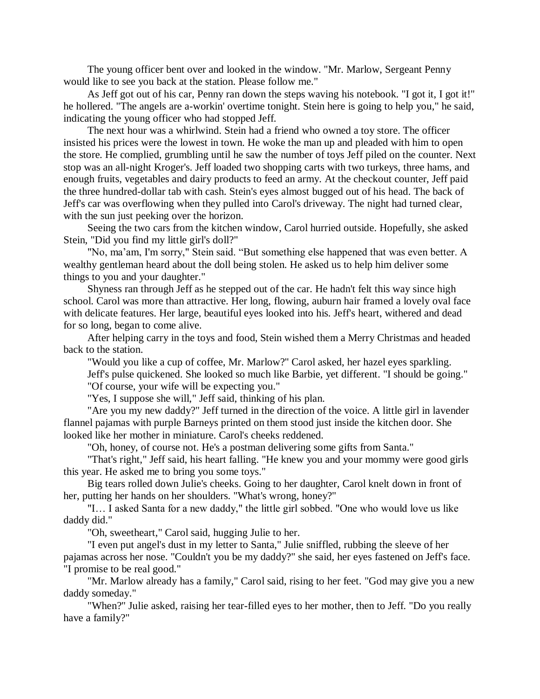The young officer bent over and looked in the window. "Mr. Marlow, Sergeant Penny would like to see you back at the station. Please follow me."

As Jeff got out of his car, Penny ran down the steps waving his notebook. "I got it, I got it!" he hollered. "The angels are a-workin' overtime tonight. Stein here is going to help you," he said, indicating the young officer who had stopped Jeff.

The next hour was a whirlwind. Stein had a friend who owned a toy store. The officer insisted his prices were the lowest in town. He woke the man up and pleaded with him to open the store. He complied, grumbling until he saw the number of toys Jeff piled on the counter. Next stop was an all-night Kroger's. Jeff loaded two shopping carts with two turkeys, three hams, and enough fruits, vegetables and dairy products to feed an army. At the checkout counter, Jeff paid the three hundred-dollar tab with cash. Stein's eyes almost bugged out of his head. The back of Jeff's car was overflowing when they pulled into Carol's driveway. The night had turned clear, with the sun just peeking over the horizon.

Seeing the two cars from the kitchen window, Carol hurried outside. Hopefully, she asked Stein, "Did you find my little girl's doll?"

"No, ma'am, I'm sorry," Stein said. "But something else happened that was even better. A wealthy gentleman heard about the doll being stolen. He asked us to help him deliver some things to you and your daughter."

Shyness ran through Jeff as he stepped out of the car. He hadn't felt this way since high school. Carol was more than attractive. Her long, flowing, auburn hair framed a lovely oval face with delicate features. Her large, beautiful eyes looked into his. Jeff's heart, withered and dead for so long, began to come alive.

After helping carry in the toys and food, Stein wished them a Merry Christmas and headed back to the station.

"Would you like a cup of coffee, Mr. Marlow?" Carol asked, her hazel eyes sparkling. Jeff's pulse quickened. She looked so much like Barbie, yet different. "I should be going." "Of course, your wife will be expecting you."

"Yes, I suppose she will," Jeff said, thinking of his plan.

"Are you my new daddy?" Jeff turned in the direction of the voice. A little girl in lavender flannel pajamas with purple Barneys printed on them stood just inside the kitchen door. She looked like her mother in miniature. Carol's cheeks reddened.

"Oh, honey, of course not. He's a postman delivering some gifts from Santa."

"That's right," Jeff said, his heart falling. "He knew you and your mommy were good girls this year. He asked me to bring you some toys."

Big tears rolled down Julie's cheeks. Going to her daughter, Carol knelt down in front of her, putting her hands on her shoulders. "What's wrong, honey?"

"I… I asked Santa for a new daddy," the little girl sobbed. "One who would love us like daddy did."

"Oh, sweetheart," Carol said, hugging Julie to her.

"I even put angel's dust in my letter to Santa," Julie sniffled, rubbing the sleeve of her pajamas across her nose. "Couldn't you be my daddy?" she said, her eyes fastened on Jeff's face. "I promise to be real good."

"Mr. Marlow already has a family," Carol said, rising to her feet. "God may give you a new daddy someday."

"When?" Julie asked, raising her tear-filled eyes to her mother, then to Jeff. "Do you really have a family?"